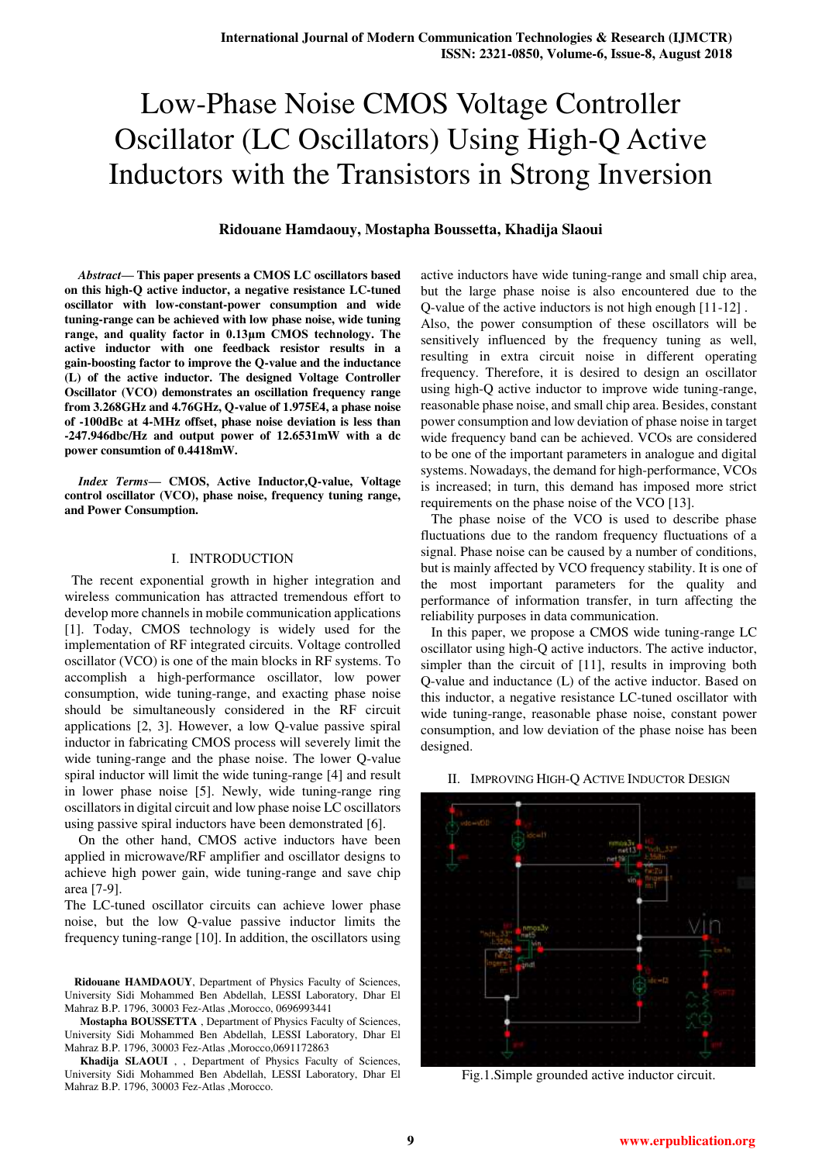# **Ridouane Hamdaouy, Mostapha Boussetta, Khadija Slaoui**

*Abstract***— This paper presents a CMOS LC oscillators based on this high-Q active inductor, a negative resistance LC-tuned oscillator with low-constant-power consumption and wide tuning-range can be achieved with low phase noise, wide tuning range, and quality factor in 0.13μm CMOS technology. The active inductor with one feedback resistor results in a gain-boosting factor to improve the Q-value and the inductance (L) of the active inductor. The designed Voltage Controller Oscillator (VCO) demonstrates an oscillation frequency range from 3.268GHz and 4.76GHz, Q-value of 1.975E4, a phase noise of -100dBc at 4-MHz offset, phase noise deviation is less than -247.946dbc/Hz and output power of 12.6531mW with a dc power consumtion of 0.4418mW.** 

*Index Terms***— CMOS, Active Inductor,Q-value, Voltage control oscillator (VCO), phase noise, frequency tuning range, and Power Consumption.** 

## I. INTRODUCTION

 The recent exponential growth in higher integration and wireless communication has attracted tremendous effort to develop more channels in mobile communication applications [1]. Today, CMOS technology is widely used for the implementation of RF integrated circuits. Voltage controlled oscillator (VCO) is one of the main blocks in RF systems. To accomplish a high-performance oscillator, low power consumption, wide tuning-range, and exacting phase noise should be simultaneously considered in the RF circuit applications [2, 3]. However, a low Q-value passive spiral inductor in fabricating CMOS process will severely limit the wide tuning-range and the phase noise. The lower Q-value spiral inductor will limit the wide tuning-range [4] and result in lower phase noise [5]. Newly, wide tuning-range ring oscillators in digital circuit and low phase noise LC oscillators using passive spiral inductors have been demonstrated [6].

 On the other hand, CMOS active inductors have been applied in microwave/RF amplifier and oscillator designs to achieve high power gain, wide tuning-range and save chip area [7-9].

The LC-tuned oscillator circuits can achieve lower phase noise, but the low Q-value passive inductor limits the frequency tuning-range [10]. In addition, the oscillators using

**Ridouane HAMDAOUY**, Department of Physics Faculty of Sciences, University Sidi Mohammed Ben Abdellah, LESSI Laboratory, Dhar El Mahraz B.P. 1796, 30003 Fez-Atlas ,Morocco, 0696993441

 **Mostapha BOUSSETTA** , Department of Physics Faculty of Sciences, University Sidi Mohammed Ben Abdellah, LESSI Laboratory, Dhar El Mahraz B.P. 1796, 30003 Fez-Atlas ,Morocco,0691172863

 **Khadija SLAOUI** , , Department of Physics Faculty of Sciences, University Sidi Mohammed Ben Abdellah, LESSI Laboratory, Dhar El Mahraz B.P. 1796, 30003 Fez-Atlas, Morocco.

active inductors have wide tuning-range and small chip area, but the large phase noise is also encountered due to the Q-value of the active inductors is not high enough [11-12] . Also, the power consumption of these oscillators will be sensitively influenced by the frequency tuning as well, resulting in extra circuit noise in different operating frequency. Therefore, it is desired to design an oscillator using high-Q active inductor to improve wide tuning-range, reasonable phase noise, and small chip area. Besides, constant power consumption and low deviation of phase noise in target wide frequency band can be achieved. VCOs are considered to be one of the important parameters in analogue and digital systems. Nowadays, the demand for high-performance, VCOs is increased; in turn, this demand has imposed more strict requirements on the phase noise of the VCO [13].

 The phase noise of the VCO is used to describe phase fluctuations due to the random frequency fluctuations of a signal. Phase noise can be caused by a number of conditions, but is mainly affected by VCO frequency stability. It is one of the most important parameters for the quality and performance of information transfer, in turn affecting the reliability purposes in data communication.

 In this paper, we propose a CMOS wide tuning-range LC oscillator using high-Q active inductors. The active inductor, simpler than the circuit of [11], results in improving both Q-value and inductance (L) of the active inductor. Based on this inductor, a negative resistance LC-tuned oscillator with wide tuning-range, reasonable phase noise, constant power consumption, and low deviation of the phase noise has been designed.



# II. IMPROVING HIGH-Q ACTIVE INDUCTOR DESIGN

Fig.1.Simple grounded active inductor circuit.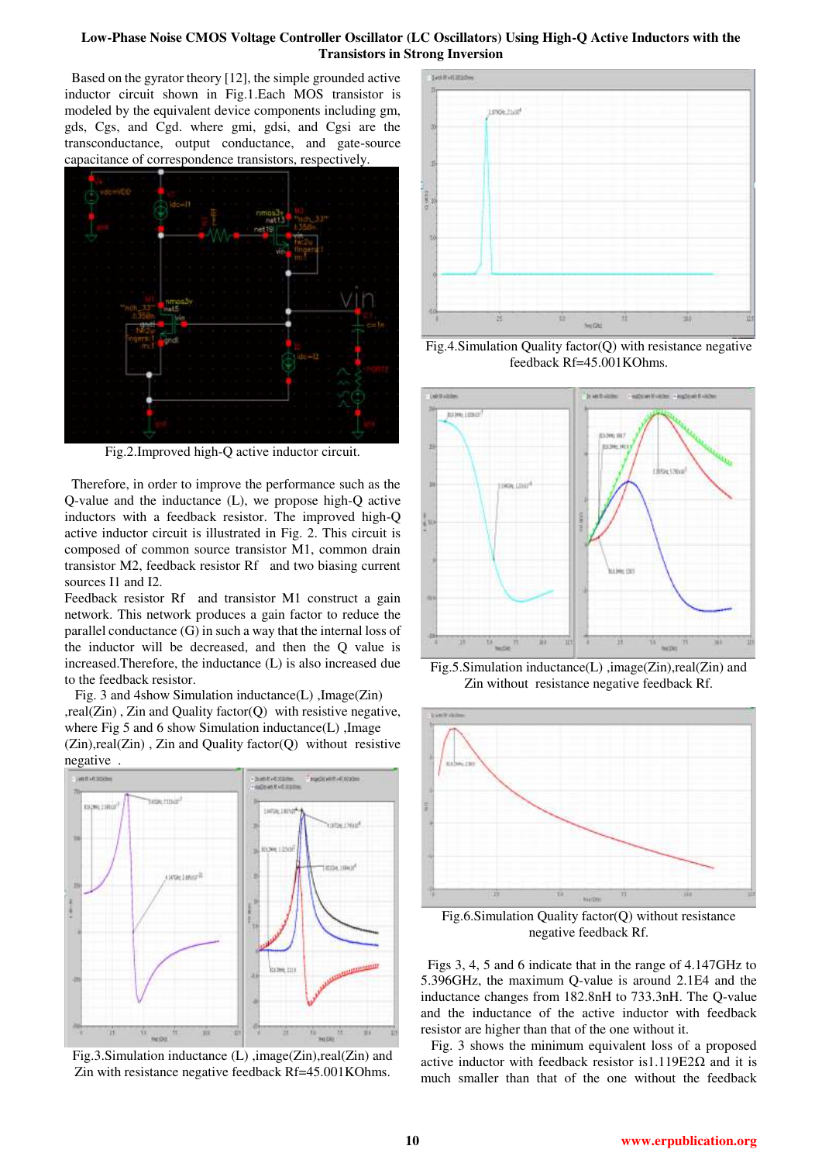Based on the gyrator theory [12], the simple grounded active inductor circuit shown in Fig.1.Each MOS transistor is modeled by the equivalent device components including gm, gds, Cgs, and Cgd. where gmi, gdsi, and Cgsi are the transconductance, output conductance, and gate-source capacitance of correspondence transistors, respectively.



Fig.2.Improved high-Q active inductor circuit.

 Therefore, in order to improve the performance such as the Q-value and the inductance (L), we propose high-Q active inductors with a feedback resistor. The improved high-Q active inductor circuit is illustrated in Fig. 2. This circuit is composed of common source transistor M1, common drain transistor M2, feedback resistor Rf and two biasing current sources I1 and I2.

Feedback resistor Rf and transistor M1 construct a gain network. This network produces a gain factor to reduce the parallel conductance (G) in such a way that the internal loss of the inductor will be decreased, and then the Q value is increased.Therefore, the inductance (L) is also increased due to the feedback resistor.

 Fig. 3 and 4show Simulation inductance(L) ,Image(Zin) ,real(Zin) , Zin and Quality factor(Q) with resistive negative, where Fig 5 and 6 show Simulation inductance(L), Image  $(Zin), real(Zin)$ ,  $Zin$  and Quality factor(Q) without resistive negative .



Fig.3.Simulation inductance (L) ,image(Zin),real(Zin) and Zin with resistance negative feedback Rf=45.001KOhms.



Fig.4.Simulation Quality factor(Q) with resistance negative feedback Rf=45.001KOhms.



Fig.5.Simulation inductance(L) ,image(Zin),real(Zin) and Zin without resistance negative feedback Rf.



Fig.6.Simulation Quality factor(Q) without resistance negative feedback Rf.

 Figs 3, 4, 5 and 6 indicate that in the range of 4.147GHz to 5.396GHz, the maximum Q-value is around 2.1E4 and the inductance changes from 182.8nH to 733.3nH. The Q-value and the inductance of the active inductor with feedback resistor are higher than that of the one without it.

 Fig. 3 shows the minimum equivalent loss of a proposed active inductor with feedback resistor is 1.119E2 $\Omega$  and it is much smaller than that of the one without the feedback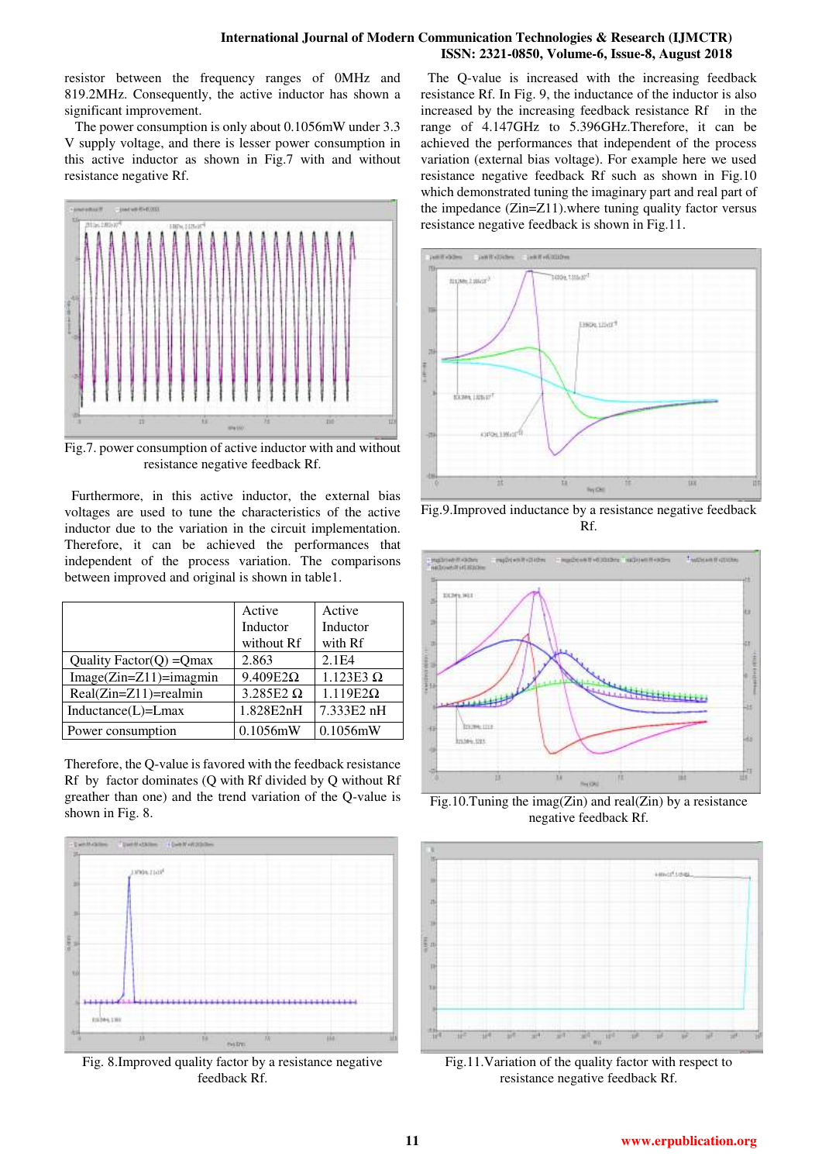resistor between the frequency ranges of 0MHz and 819.2MHz. Consequently, the active inductor has shown a significant improvement.

 The power consumption is only about 0.1056mW under 3.3 V supply voltage, and there is lesser power consumption in this active inductor as shown in Fig.7 with and without resistance negative Rf.



Fig.7. power consumption of active inductor with and without resistance negative feedback Rf.

 Furthermore, in this active inductor, the external bias voltages are used to tune the characteristics of the active inductor due to the variation in the circuit implementation. Therefore, it can be achieved the performances that independent of the process variation. The comparisons between improved and original is shown in table1.

|                              | Active           | Active           |
|------------------------------|------------------|------------------|
|                              | Inductor         | Inductor         |
|                              | without Rf       | with Rf          |
| Quality Factor( $Q$ ) = Qmax | 2.863            | 2.1E4            |
| $Image(Zin=Z11)=imagmin$     | $9.409E2\Omega$  | $1.123E3 \Omega$ |
| $Real(Zin=Z11)=realmin$      | $3.285E2 \Omega$ | $1.119E2\Omega$  |
| $Inductance(L)=Lmax$         | 1.828E2nH        | 7.333E2 nH       |
| Power consumption            | $0.1056$ mW      | $0.1056$ mW      |

Therefore, the Q-value is favored with the feedback resistance Rf by factor dominates (Q with Rf divided by Q without Rf greather than one) and the trend variation of the Q-value is shown in Fig. 8.



Fig. 8.Improved quality factor by a resistance negative feedback Rf.

 The Q-value is increased with the increasing feedback resistance Rf. In Fig. 9, the inductance of the inductor is also increased by the increasing feedback resistance Rf in the range of 4.147GHz to 5.396GHz.Therefore, it can be achieved the performances that independent of the process variation (external bias voltage). For example here we used resistance negative feedback Rf such as shown in Fig.10 which demonstrated tuning the imaginary part and real part of the impedance (Zin=Z11).where tuning quality factor versus resistance negative feedback is shown in Fig.11.



Fig.9.Improved inductance by a resistance negative feedback Rf.



Fig.10.Tuning the imag(Zin) and real(Zin) by a resistance negative feedback Rf.



Fig.11.Variation of the quality factor with respect to resistance negative feedback Rf.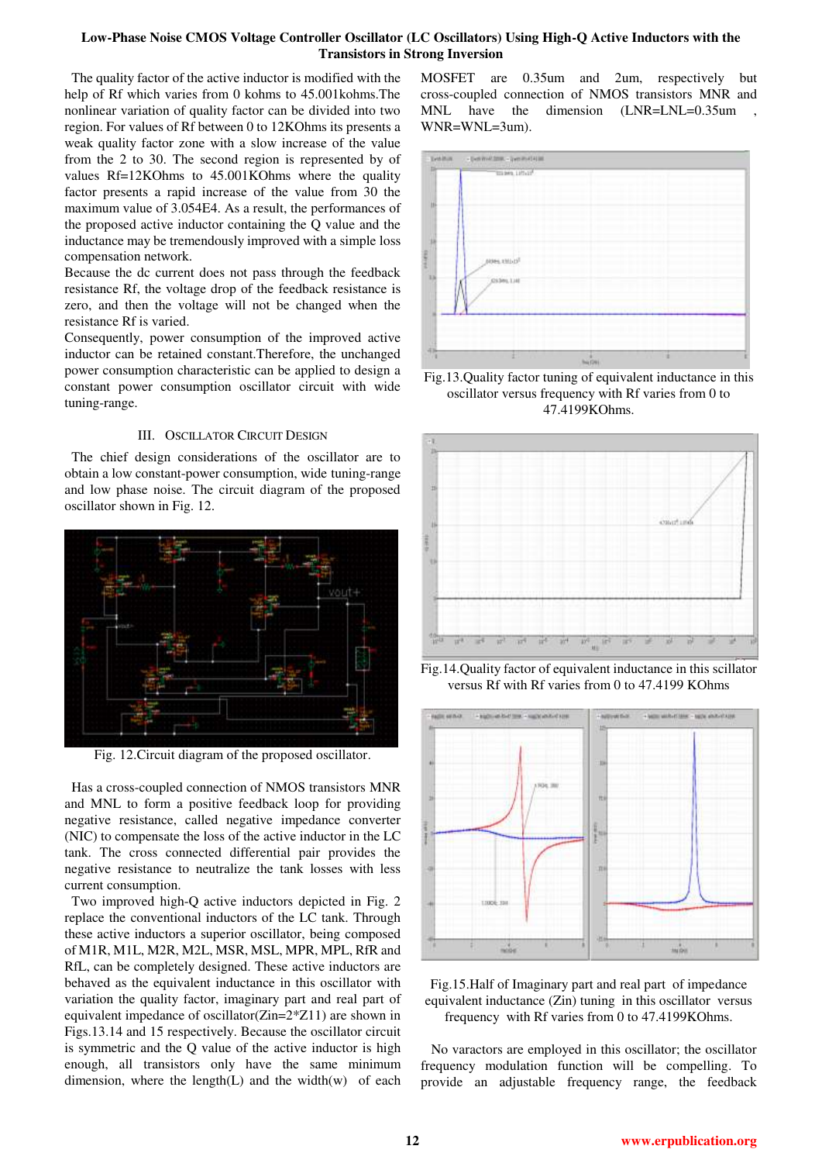The quality factor of the active inductor is modified with the help of Rf which varies from 0 kohms to 45.001kohms.The nonlinear variation of quality factor can be divided into two region. For values of Rf between 0 to 12KOhms its presents a weak quality factor zone with a slow increase of the value from the 2 to 30. The second region is represented by of values Rf=12KOhms to 45.001KOhms where the quality factor presents a rapid increase of the value from 30 the maximum value of 3.054E4. As a result, the performances of the proposed active inductor containing the Q value and the inductance may be tremendously improved with a simple loss compensation network.

Because the dc current does not pass through the feedback resistance Rf, the voltage drop of the feedback resistance is zero, and then the voltage will not be changed when the resistance Rf is varied.

Consequently, power consumption of the improved active inductor can be retained constant.Therefore, the unchanged power consumption characteristic can be applied to design a constant power consumption oscillator circuit with wide tuning-range.

#### III. OSCILLATOR CIRCUIT DESIGN

 The chief design considerations of the oscillator are to obtain a low constant-power consumption, wide tuning-range and low phase noise. The circuit diagram of the proposed oscillator shown in Fig. 12.



Fig. 12.Circuit diagram of the proposed oscillator.

 Has a cross-coupled connection of NMOS transistors MNR and MNL to form a positive feedback loop for providing negative resistance, called negative impedance converter (NIC) to compensate the loss of the active inductor in the LC tank. The cross connected differential pair provides the negative resistance to neutralize the tank losses with less current consumption.

 Two improved high-Q active inductors depicted in Fig. 2 replace the conventional inductors of the LC tank. Through these active inductors a superior oscillator, being composed of M1R, M1L, M2R, M2L, MSR, MSL, MPR, MPL, RfR and RfL, can be completely designed. These active inductors are behaved as the equivalent inductance in this oscillator with variation the quality factor, imaginary part and real part of equivalent impedance of oscillator(Zin=2\*Z11) are shown in Figs.13.14 and 15 respectively. Because the oscillator circuit is symmetric and the Q value of the active inductor is high enough, all transistors only have the same minimum dimension, where the length $(L)$  and the width $(w)$  of each

MOSFET are 0.35um and 2um, respectively but cross-coupled connection of NMOS transistors MNR and MNL have the dimension (LNR=LNL=0.35um WNR=WNL=3um).



Fig.13.Quality factor tuning of equivalent inductance in this oscillator versus frequency with Rf varies from 0 to 47.4199KOhms.



Fig.14.Quality factor of equivalent inductance in this scillator versus Rf with Rf varies from 0 to 47.4199 KOhms



Fig.15.Half of Imaginary part and real part of impedance equivalent inductance (Zin) tuning in this oscillator versus frequency with Rf varies from 0 to 47.4199KOhms.

 No varactors are employed in this oscillator; the oscillator frequency modulation function will be compelling. To provide an adjustable frequency range, the feedback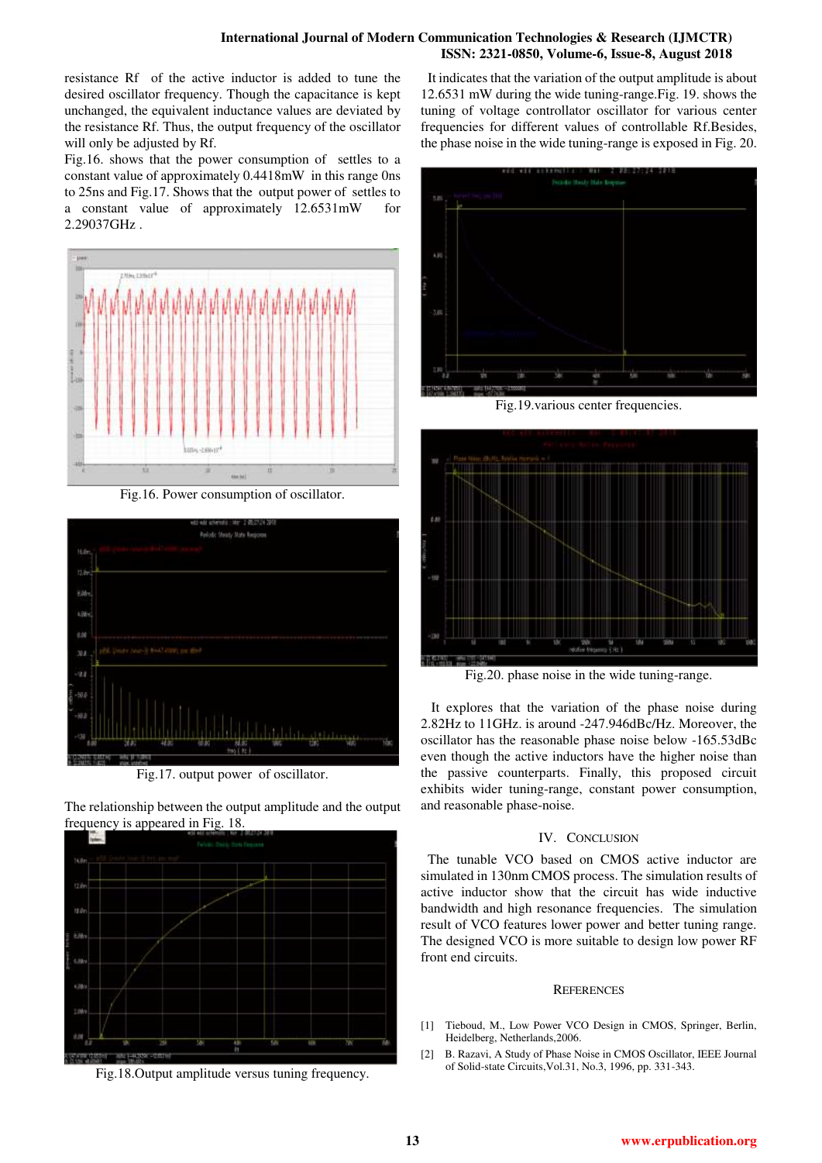## **International Journal of Modern Communication Technologies & Research (IJMCTR) ISSN: 2321-0850, Volume-6, Issue-8, August 2018**

resistance Rf of the active inductor is added to tune the desired oscillator frequency. Though the capacitance is kept unchanged, the equivalent inductance values are deviated by the resistance Rf. Thus, the output frequency of the oscillator will only be adjusted by Rf.

Fig.16. shows that the power consumption of settles to a constant value of approximately 0.4418mW in this range 0ns to 25ns and Fig.17. Shows that the output power of settles to a constant value of approximately 12.6531mW for 2.29037GHz .



Fig.16. Power consumption of oscillator.



Fig.17. output power of oscillator.

The relationship between the output amplitude and the output frequency is appeared in Fig. 18.



Fig.18.Output amplitude versus tuning frequency.

 It indicates that the variation of the output amplitude is about 12.6531 mW during the wide tuning-range.Fig. 19. shows the tuning of voltage controllator oscillator for various center frequencies for different values of controllable Rf.Besides, the phase noise in the wide tuning-range is exposed in Fig. 20.



Fig.19.various center frequencies.



Fig.20. phase noise in the wide tuning-range.

 It explores that the variation of the phase noise during 2.82Hz to 11GHz. is around -247.946dBc/Hz. Moreover, the oscillator has the reasonable phase noise below -165.53dBc even though the active inductors have the higher noise than the passive counterparts. Finally, this proposed circuit exhibits wider tuning-range, constant power consumption, and reasonable phase-noise.

# IV. CONCLUSION

 The tunable VCO based on CMOS active inductor are simulated in 130nm CMOS process. The simulation results of active inductor show that the circuit has wide inductive bandwidth and high resonance frequencies. The simulation result of VCO features lower power and better tuning range. The designed VCO is more suitable to design low power RF front end circuits.

# **REFERENCES**

- [1] Tieboud, M., Low Power VCO Design in CMOS, Springer, Berlin, Heidelberg, Netherlands,2006.
- [2] B. Razavi, A Study of Phase Noise in CMOS Oscillator, IEEE Journal of Solid-state Circuits,Vol.31, No.3, 1996, pp. 331-343.